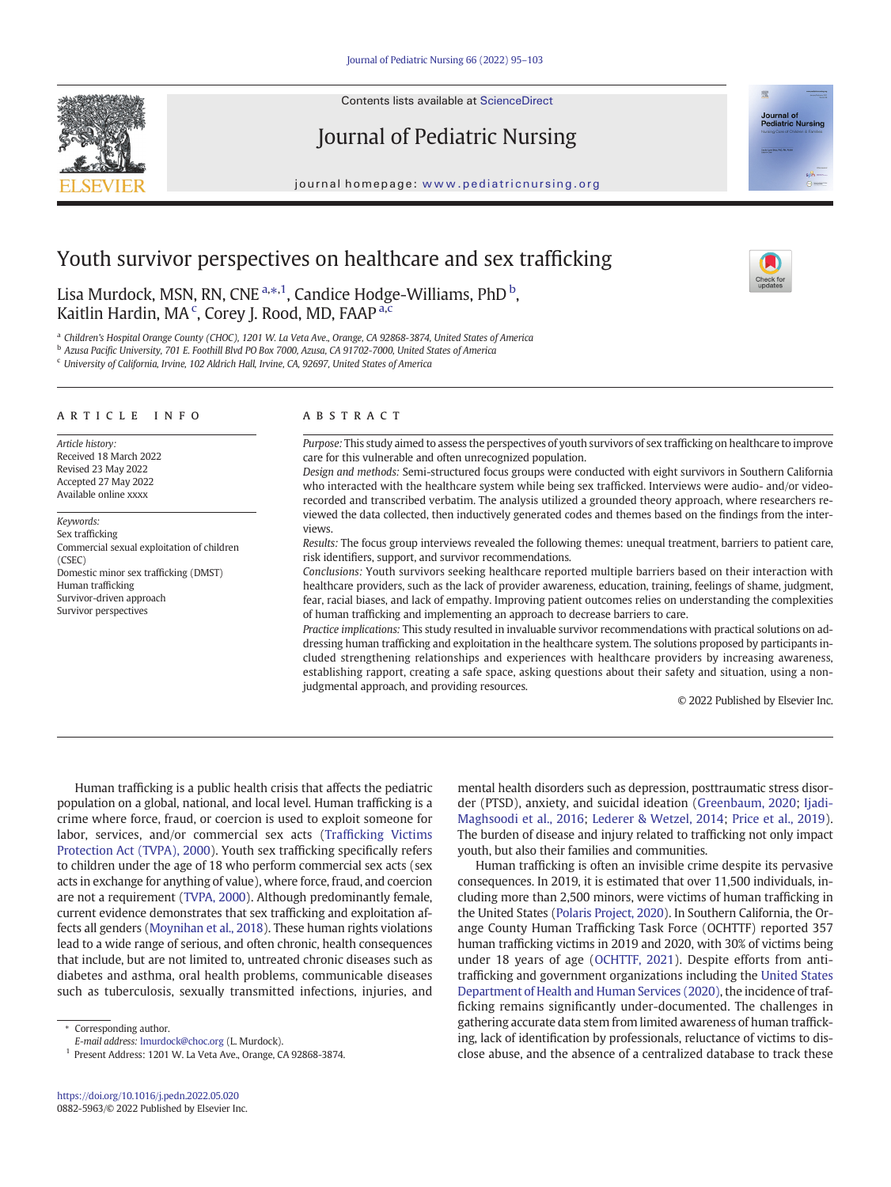Contents lists available at [ScienceDirect](http://www.sciencedirect.com/science/journal/)





journal homepage: <www.pediatricnursing.org>

# Youth survivor perspectives on healthcare and sex trafficking

Lisa Murdock, MSN, RN, CNE<sup>a,\*,1</sup>, Candice Hodge-Williams, PhD<sup>b</sup>, Kaitlin Hardin, MA<sup>c</sup>, Corey J. Rood, MD, FAAP<sup>a,c</sup>

a Children's Hospital Orange County (CHOC), 1201 W. La Veta Ave., Orange, CA 92868-3874, United States of America

<sup>b</sup> Azusa Pacific University, 701 E. Foothill Blvd PO Box 7000, Azusa, CA 91702-7000, United States of America

<sup>c</sup> University of California, Irvine, 102 Aldrich Hall, Irvine, CA, 92697, United States of America

#### article info abstract

Article history: Received 18 March 2022 Revised 23 May 2022 Accepted 27 May 2022 Available online xxxx

Keywords: Sex trafficking Commercial sexual exploitation of children (CSEC) Domestic minor sex trafficking (DMST) Human trafficking Survivor-driven approach Survivor perspectives

Purpose: This study aimed to assess the perspectives of youth survivors of sex trafficking on healthcare to improve care for this vulnerable and often unrecognized population.

Design and methods: Semi-structured focus groups were conducted with eight survivors in Southern California who interacted with the healthcare system while being sex trafficked. Interviews were audio- and/or videorecorded and transcribed verbatim. The analysis utilized a grounded theory approach, where researchers reviewed the data collected, then inductively generated codes and themes based on the findings from the interviews.

Results: The focus group interviews revealed the following themes: unequal treatment, barriers to patient care, risk identifiers, support, and survivor recommendations.

Conclusions: Youth survivors seeking healthcare reported multiple barriers based on their interaction with healthcare providers, such as the lack of provider awareness, education, training, feelings of shame, judgment, fear, racial biases, and lack of empathy. Improving patient outcomes relies on understanding the complexities of human trafficking and implementing an approach to decrease barriers to care.

Practice implications: This study resulted in invaluable survivor recommendations with practical solutions on addressing human trafficking and exploitation in the healthcare system. The solutions proposed by participants included strengthening relationships and experiences with healthcare providers by increasing awareness, establishing rapport, creating a safe space, asking questions about their safety and situation, using a nonjudgmental approach, and providing resources.

© 2022 Published by Elsevier Inc.

Human trafficking is a public health crisis that affects the pediatric population on a global, national, and local level. Human trafficking is a crime where force, fraud, or coercion is used to exploit someone for labor, services, and/or commercial sex acts (Traffi[cking Victims](#page-8-0) [Protection Act \(TVPA\), 2000\)](#page-8-0). Youth sex trafficking specifically refers to children under the age of 18 who perform commercial sex acts (sex acts in exchange for anything of value), where force, fraud, and coercion are not a requirement [\(TVPA, 2000](#page-8-0)). Although predominantly female, current evidence demonstrates that sex trafficking and exploitation affects all genders [\(Moynihan et al., 2018](#page-7-0)). These human rights violations lead to a wide range of serious, and often chronic, health consequences that include, but are not limited to, untreated chronic diseases such as diabetes and asthma, oral health problems, communicable diseases such as tuberculosis, sexually transmitted infections, injuries, and

E-mail address: [lmurdock@choc.org](mailto:lmurdock@choc.org) (L. Murdock).

<sup>1</sup> Present Address: 1201 W. La Veta Ave., Orange, CA 92868-3874.

mental health disorders such as depression, posttraumatic stress disorder (PTSD), anxiety, and suicidal ideation [\(Greenbaum, 2020](#page-7-0); [Ijadi-](#page-7-0)[Maghsoodi et al., 2016;](#page-7-0) [Lederer & Wetzel, 2014](#page-7-0); [Price et al., 2019\)](#page-8-0). The burden of disease and injury related to trafficking not only impact youth, but also their families and communities.

Human trafficking is often an invisible crime despite its pervasive consequences. In 2019, it is estimated that over 11,500 individuals, including more than 2,500 minors, were victims of human trafficking in the United States [\(Polaris Project, 2020\)](#page-8-0). In Southern California, the Orange County Human Trafficking Task Force (OCHTTF) reported 357 human trafficking victims in 2019 and 2020, with 30% of victims being under 18 years of age ([OCHTTF, 2021\)](#page-7-0). Despite efforts from antitrafficking and government organizations including the [United States](#page-8-0) [Department of Health and Human Services \(2020\)](#page-8-0), the incidence of trafficking remains significantly under-documented. The challenges in gathering accurate data stem from limited awareness of human trafficking, lack of identification by professionals, reluctance of victims to disclose abuse, and the absence of a centralized database to track these

<sup>⁎</sup> Corresponding author.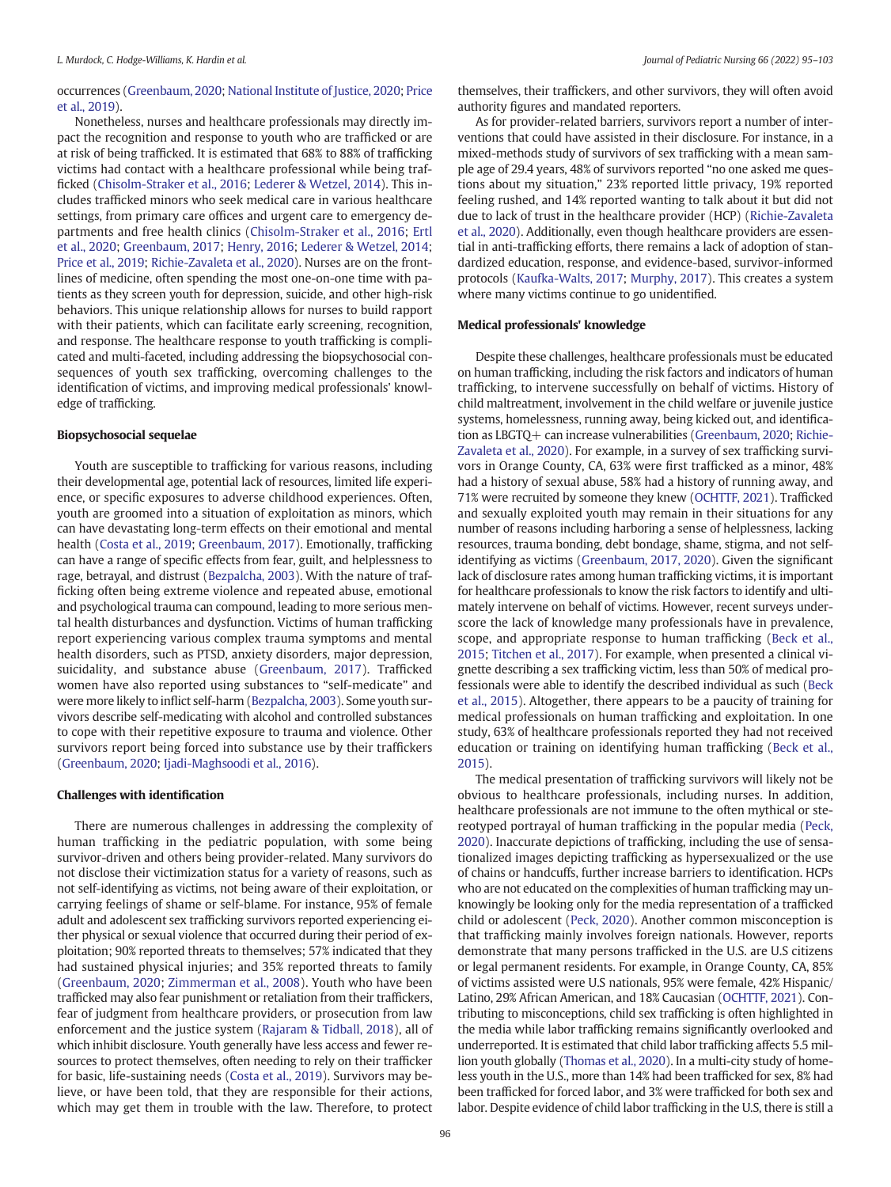#### occurrences [\(Greenbaum, 2020](#page-7-0); [National Institute of Justice, 2020](#page-7-0); [Price](#page-8-0) [et al., 2019\)](#page-8-0).

Nonetheless, nurses and healthcare professionals may directly impact the recognition and response to youth who are trafficked or are at risk of being trafficked. It is estimated that 68% to 88% of trafficking victims had contact with a healthcare professional while being trafficked [\(Chisolm-Straker et al., 2016](#page-7-0); [Lederer & Wetzel, 2014](#page-7-0)). This includes trafficked minors who seek medical care in various healthcare settings, from primary care offices and urgent care to emergency departments and free health clinics [\(Chisolm-Straker et al., 2016;](#page-7-0) [Ertl](#page-7-0) [et al., 2020;](#page-7-0) [Greenbaum, 2017](#page-7-0); [Henry, 2016](#page-7-0); [Lederer & Wetzel, 2014](#page-7-0); [Price et al., 2019](#page-8-0); [Richie-Zavaleta et al., 2020](#page-8-0)). Nurses are on the frontlines of medicine, often spending the most one-on-one time with patients as they screen youth for depression, suicide, and other high-risk behaviors. This unique relationship allows for nurses to build rapport with their patients, which can facilitate early screening, recognition, and response. The healthcare response to youth trafficking is complicated and multi-faceted, including addressing the biopsychosocial consequences of youth sex trafficking, overcoming challenges to the identification of victims, and improving medical professionals' knowledge of trafficking.

#### Biopsychosocial sequelae

Youth are susceptible to trafficking for various reasons, including their developmental age, potential lack of resources, limited life experience, or specific exposures to adverse childhood experiences. Often, youth are groomed into a situation of exploitation as minors, which can have devastating long-term effects on their emotional and mental health ([Costa et al., 2019;](#page-7-0) [Greenbaum, 2017](#page-7-0)). Emotionally, trafficking can have a range of specific effects from fear, guilt, and helplessness to rage, betrayal, and distrust [\(Bezpalcha, 2003](#page-7-0)). With the nature of trafficking often being extreme violence and repeated abuse, emotional and psychological trauma can compound, leading to more serious mental health disturbances and dysfunction. Victims of human trafficking report experiencing various complex trauma symptoms and mental health disorders, such as PTSD, anxiety disorders, major depression, suicidality, and substance abuse [\(Greenbaum, 2017](#page-7-0)). Trafficked women have also reported using substances to "self-medicate" and were more likely to inflict self-harm [\(Bezpalcha, 2003\)](#page-7-0). Some youth survivors describe self-medicating with alcohol and controlled substances to cope with their repetitive exposure to trauma and violence. Other survivors report being forced into substance use by their traffickers ([Greenbaum, 2020;](#page-7-0) [Ijadi-Maghsoodi et al., 2016\)](#page-7-0).

# Challenges with identification

There are numerous challenges in addressing the complexity of human trafficking in the pediatric population, with some being survivor-driven and others being provider-related. Many survivors do not disclose their victimization status for a variety of reasons, such as not self-identifying as victims, not being aware of their exploitation, or carrying feelings of shame or self-blame. For instance, 95% of female adult and adolescent sex trafficking survivors reported experiencing either physical or sexual violence that occurred during their period of exploitation; 90% reported threats to themselves; 57% indicated that they had sustained physical injuries; and 35% reported threats to family ([Greenbaum, 2020](#page-7-0); [Zimmerman et al., 2008\)](#page-8-0). Youth who have been trafficked may also fear punishment or retaliation from their traffickers, fear of judgment from healthcare providers, or prosecution from law enforcement and the justice system [\(Rajaram & Tidball, 2018](#page-8-0)), all of which inhibit disclosure. Youth generally have less access and fewer resources to protect themselves, often needing to rely on their trafficker for basic, life-sustaining needs ([Costa et al., 2019](#page-7-0)). Survivors may believe, or have been told, that they are responsible for their actions, which may get them in trouble with the law. Therefore, to protect

themselves, their traffickers, and other survivors, they will often avoid authority figures and mandated reporters.

As for provider-related barriers, survivors report a number of interventions that could have assisted in their disclosure. For instance, in a mixed-methods study of survivors of sex trafficking with a mean sample age of 29.4 years, 48% of survivors reported "no one asked me questions about my situation," 23% reported little privacy, 19% reported feeling rushed, and 14% reported wanting to talk about it but did not due to lack of trust in the healthcare provider (HCP) ([Richie-Zavaleta](#page-8-0) [et al., 2020\)](#page-8-0). Additionally, even though healthcare providers are essential in anti-trafficking efforts, there remains a lack of adoption of standardized education, response, and evidence-based, survivor-informed protocols ([Kaufka-Walts, 2017;](#page-7-0) [Murphy, 2017\)](#page-7-0). This creates a system where many victims continue to go unidentified.

#### Medical professionals' knowledge

Despite these challenges, healthcare professionals must be educated on human trafficking, including the risk factors and indicators of human trafficking, to intervene successfully on behalf of victims. History of child maltreatment, involvement in the child welfare or juvenile justice systems, homelessness, running away, being kicked out, and identification as LBGTQ+ can increase vulnerabilities [\(Greenbaum, 2020;](#page-7-0) [Richie-](#page-8-0)[Zavaleta et al., 2020](#page-8-0)). For example, in a survey of sex trafficking survivors in Orange County, CA, 63% were first trafficked as a minor, 48% had a history of sexual abuse, 58% had a history of running away, and 71% were recruited by someone they knew ([OCHTTF, 2021\)](#page-7-0). Trafficked and sexually exploited youth may remain in their situations for any number of reasons including harboring a sense of helplessness, lacking resources, trauma bonding, debt bondage, shame, stigma, and not selfidentifying as victims [\(Greenbaum, 2017, 2020](#page-7-0)). Given the significant lack of disclosure rates among human trafficking victims, it is important for healthcare professionals to know the risk factors to identify and ultimately intervene on behalf of victims. However, recent surveys underscore the lack of knowledge many professionals have in prevalence, scope, and appropriate response to human trafficking [\(Beck et al.,](#page-7-0) [2015](#page-7-0); [Titchen et al., 2017](#page-8-0)). For example, when presented a clinical vignette describing a sex trafficking victim, less than 50% of medical professionals were able to identify the described individual as such [\(Beck](#page-7-0) [et al., 2015](#page-7-0)). Altogether, there appears to be a paucity of training for medical professionals on human trafficking and exploitation. In one study, 63% of healthcare professionals reported they had not received education or training on identifying human trafficking ([Beck et al.,](#page-7-0) [2015\)](#page-7-0).

The medical presentation of trafficking survivors will likely not be obvious to healthcare professionals, including nurses. In addition, healthcare professionals are not immune to the often mythical or stereotyped portrayal of human trafficking in the popular media [\(Peck,](#page-7-0) [2020](#page-7-0)). Inaccurate depictions of trafficking, including the use of sensationalized images depicting trafficking as hypersexualized or the use of chains or handcuffs, further increase barriers to identification. HCPs who are not educated on the complexities of human trafficking may unknowingly be looking only for the media representation of a trafficked child or adolescent ([Peck, 2020\)](#page-7-0). Another common misconception is that trafficking mainly involves foreign nationals. However, reports demonstrate that many persons trafficked in the U.S. are U.S citizens or legal permanent residents. For example, in Orange County, CA, 85% of victims assisted were U.S nationals, 95% were female, 42% Hispanic/ Latino, 29% African American, and 18% Caucasian [\(OCHTTF, 2021](#page-7-0)). Contributing to misconceptions, child sex trafficking is often highlighted in the media while labor trafficking remains significantly overlooked and underreported. It is estimated that child labor trafficking affects 5.5 million youth globally [\(Thomas et al., 2020\)](#page-8-0). In a multi-city study of homeless youth in the U.S., more than 14% had been trafficked for sex, 8% had been trafficked for forced labor, and 3% were trafficked for both sex and labor. Despite evidence of child labor trafficking in the U.S, there is still a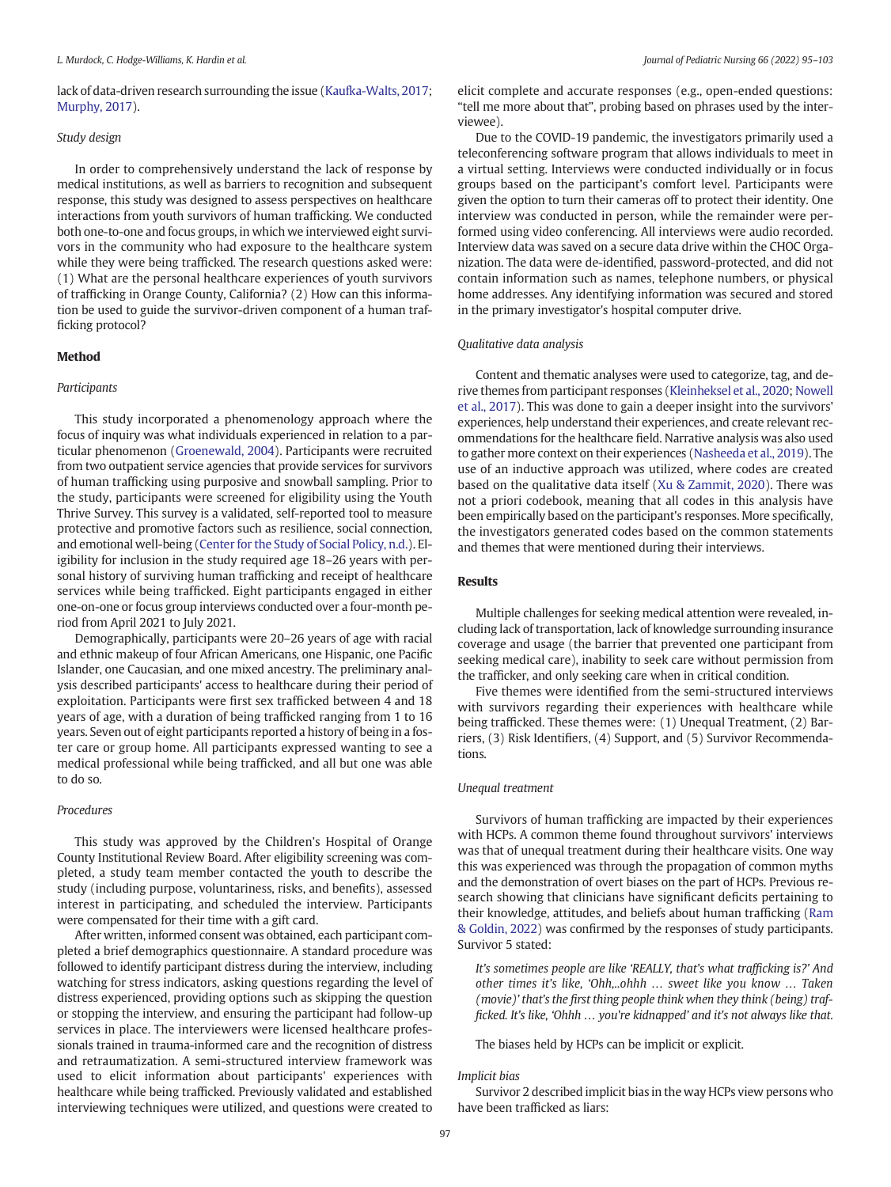lack of data-driven research surrounding the issue [\(Kaufka-Walts, 2017](#page-7-0); [Murphy, 2017](#page-7-0)).

# Study design

In order to comprehensively understand the lack of response by medical institutions, as well as barriers to recognition and subsequent response, this study was designed to assess perspectives on healthcare interactions from youth survivors of human trafficking. We conducted both one-to-one and focus groups, in which we interviewed eight survivors in the community who had exposure to the healthcare system while they were being trafficked. The research questions asked were: (1) What are the personal healthcare experiences of youth survivors of trafficking in Orange County, California? (2) How can this information be used to guide the survivor-driven component of a human trafficking protocol?

#### Method

#### Participants

This study incorporated a phenomenology approach where the focus of inquiry was what individuals experienced in relation to a particular phenomenon [\(Groenewald, 2004](#page-7-0)). Participants were recruited from two outpatient service agencies that provide services for survivors of human trafficking using purposive and snowball sampling. Prior to the study, participants were screened for eligibility using the Youth Thrive Survey. This survey is a validated, self-reported tool to measure protective and promotive factors such as resilience, social connection, and emotional well-being [\(Center for the Study of Social Policy, n.d.\)](#page-7-0). Eligibility for inclusion in the study required age 18–26 years with personal history of surviving human trafficking and receipt of healthcare services while being trafficked. Eight participants engaged in either one-on-one or focus group interviews conducted over a four-month period from April 2021 to July 2021.

Demographically, participants were 20–26 years of age with racial and ethnic makeup of four African Americans, one Hispanic, one Pacific Islander, one Caucasian, and one mixed ancestry. The preliminary analysis described participants' access to healthcare during their period of exploitation. Participants were first sex trafficked between 4 and 18 years of age, with a duration of being trafficked ranging from 1 to 16 years. Seven out of eight participants reported a history of being in a foster care or group home. All participants expressed wanting to see a medical professional while being trafficked, and all but one was able to do so.

#### Procedures

This study was approved by the Children's Hospital of Orange County Institutional Review Board. After eligibility screening was completed, a study team member contacted the youth to describe the study (including purpose, voluntariness, risks, and benefits), assessed interest in participating, and scheduled the interview. Participants were compensated for their time with a gift card.

After written, informed consent was obtained, each participant completed a brief demographics questionnaire. A standard procedure was followed to identify participant distress during the interview, including watching for stress indicators, asking questions regarding the level of distress experienced, providing options such as skipping the question or stopping the interview, and ensuring the participant had follow-up services in place. The interviewers were licensed healthcare professionals trained in trauma-informed care and the recognition of distress and retraumatization. A semi-structured interview framework was used to elicit information about participants' experiences with healthcare while being trafficked. Previously validated and established interviewing techniques were utilized, and questions were created to

elicit complete and accurate responses (e.g., open-ended questions: "tell me more about that", probing based on phrases used by the interviewee).

Due to the COVID-19 pandemic, the investigators primarily used a teleconferencing software program that allows individuals to meet in a virtual setting. Interviews were conducted individually or in focus groups based on the participant's comfort level. Participants were given the option to turn their cameras off to protect their identity. One interview was conducted in person, while the remainder were performed using video conferencing. All interviews were audio recorded. Interview data was saved on a secure data drive within the CHOC Organization. The data were de-identified, password-protected, and did not contain information such as names, telephone numbers, or physical home addresses. Any identifying information was secured and stored in the primary investigator's hospital computer drive.

# Qualitative data analysis

Content and thematic analyses were used to categorize, tag, and derive themes from participant responses ([Kleinheksel et al., 2020;](#page-7-0) [Nowell](#page-7-0) [et al., 2017](#page-7-0)). This was done to gain a deeper insight into the survivors' experiences, help understand their experiences, and create relevant recommendations for the healthcare field. Narrative analysis was also used to gather more context on their experiences [\(Nasheeda et al., 2019](#page-7-0)). The use of an inductive approach was utilized, where codes are created based on the qualitative data itself ([Xu & Zammit, 2020\)](#page-8-0). There was not a priori codebook, meaning that all codes in this analysis have been empirically based on the participant's responses. More specifically, the investigators generated codes based on the common statements and themes that were mentioned during their interviews.

#### Results

Multiple challenges for seeking medical attention were revealed, including lack of transportation, lack of knowledge surrounding insurance coverage and usage (the barrier that prevented one participant from seeking medical care), inability to seek care without permission from the trafficker, and only seeking care when in critical condition.

Five themes were identified from the semi-structured interviews with survivors regarding their experiences with healthcare while being trafficked. These themes were: (1) Unequal Treatment, (2) Barriers, (3) Risk Identifiers, (4) Support, and (5) Survivor Recommendations.

#### Unequal treatment

Survivors of human trafficking are impacted by their experiences with HCPs. A common theme found throughout survivors' interviews was that of unequal treatment during their healthcare visits. One way this was experienced was through the propagation of common myths and the demonstration of overt biases on the part of HCPs. Previous research showing that clinicians have significant deficits pertaining to their knowledge, attitudes, and beliefs about human trafficking ([Ram](#page-8-0) [& Goldin, 2022](#page-8-0)) was confirmed by the responses of study participants. Survivor 5 stated:

It's sometimes people are like 'REALLY, that's what trafficking is?' And other times it's like, 'Ohh,..ohhh … sweet like you know … Taken (movie)' that's the first thing people think when they think (being) trafficked. It's like, 'Ohhh … you're kidnapped' and it's not always like that.

The biases held by HCPs can be implicit or explicit.

#### Implicit bias

Survivor 2 described implicit bias in the way HCPs view persons who have been trafficked as liars: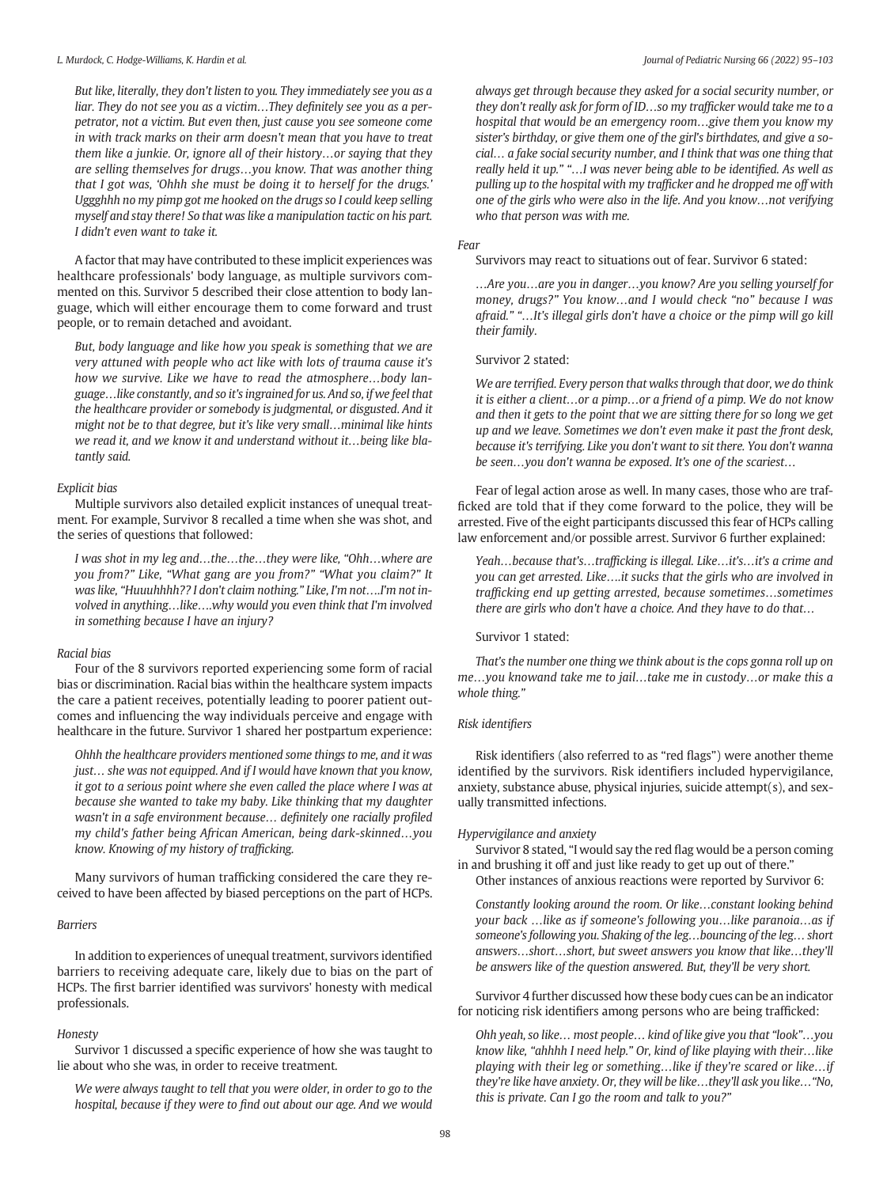But like, literally, they don't listen to you. They immediately see you as a liar. They do not see you as a victim…They definitely see you as a perpetrator, not a victim. But even then, just cause you see someone come in with track marks on their arm doesn't mean that you have to treat them like a junkie. Or, ignore all of their history…or saying that they are selling themselves for drugs…you know. That was another thing that I got was, 'Ohhh she must be doing it to herself for the drugs.' Uggghhh no my pimp got me hooked on the drugs so I could keep selling myself and stay there! So that was like a manipulation tactic on his part. I didn't even want to take it.

A factor that may have contributed to these implicit experiences was healthcare professionals' body language, as multiple survivors commented on this. Survivor 5 described their close attention to body language, which will either encourage them to come forward and trust people, or to remain detached and avoidant.

But, body language and like how you speak is something that we are very attuned with people who act like with lots of trauma cause it's how we survive. Like we have to read the atmosphere…body language…like constantly, and so it's ingrained for us. And so, if we feel that the healthcare provider or somebody is judgmental, or disgusted. And it might not be to that degree, but it's like very small…minimal like hints we read it, and we know it and understand without it…being like blatantly said.

# Explicit bias

Multiple survivors also detailed explicit instances of unequal treatment. For example, Survivor 8 recalled a time when she was shot, and the series of questions that followed:

I was shot in my leg and…the…the…they were like, "Ohh…where are you from?" Like, "What gang are you from?" "What you claim?" It was like, "Huuuhhhh?? I don't claim nothing." Like, I'm not….I'm not involved in anything…like….why would you even think that I'm involved in something because I have an injury?

#### Racial bias

Four of the 8 survivors reported experiencing some form of racial bias or discrimination. Racial bias within the healthcare system impacts the care a patient receives, potentially leading to poorer patient outcomes and influencing the way individuals perceive and engage with healthcare in the future. Survivor 1 shared her postpartum experience:

Ohhh the healthcare providers mentioned some things to me, and it was just… she was not equipped. And if I would have known that you know, it got to a serious point where she even called the place where I was at because she wanted to take my baby. Like thinking that my daughter wasn't in a safe environment because… definitely one racially profiled my child's father being African American, being dark-skinned…you know. Knowing of my history of trafficking.

Many survivors of human trafficking considered the care they received to have been affected by biased perceptions on the part of HCPs.

#### Barriers

In addition to experiences of unequal treatment, survivors identified barriers to receiving adequate care, likely due to bias on the part of HCPs. The first barrier identified was survivors' honesty with medical professionals.

#### Honesty

Survivor 1 discussed a specific experience of how she was taught to lie about who she was, in order to receive treatment.

We were always taught to tell that you were older, in order to go to the hospital, because if they were to find out about our age. And we would always get through because they asked for a social security number, or they don't really ask for form of ID…so my trafficker would take me to a hospital that would be an emergency room…give them you know my sister's birthday, or give them one of the girl's birthdates, and give a social… a fake social security number, and I think that was one thing that really held it up." "…I was never being able to be identified. As well as pulling up to the hospital with my trafficker and he dropped me off with one of the girls who were also in the life. And you know…not verifying who that person was with me.

# Fear

Survivors may react to situations out of fear. Survivor 6 stated:

…Are you…are you in danger…you know? Are you selling yourself for money, drugs?" You know…and I would check "no" because I was afraid." "…It's illegal girls don't have a choice or the pimp will go kill their family.

Survivor 2 stated:

We are terrified. Every person that walks through that door, we do think it is either a client…or a pimp…or a friend of a pimp. We do not know and then it gets to the point that we are sitting there for so long we get up and we leave. Sometimes we don't even make it past the front desk, because it's terrifying. Like you don't want to sit there. You don't wanna be seen…you don't wanna be exposed. It's one of the scariest…

Fear of legal action arose as well. In many cases, those who are trafficked are told that if they come forward to the police, they will be arrested. Five of the eight participants discussed this fear of HCPs calling law enforcement and/or possible arrest. Survivor 6 further explained:

Yeah…because that's…trafficking is illegal. Like…it's…it's a crime and you can get arrested. Like….it sucks that the girls who are involved in trafficking end up getting arrested, because sometimes…sometimes there are girls who don't have a choice. And they have to do that…

#### Survivor 1 stated:

That's the number one thing we think about is the cops gonna roll up on me…you knowand take me to jail…take me in custody…or make this a whole thing."

# Risk identifiers

Risk identifiers (also referred to as "red flags") were another theme identified by the survivors. Risk identifiers included hypervigilance, anxiety, substance abuse, physical injuries, suicide attempt(s), and sexually transmitted infections.

# Hypervigilance and anxiety

Survivor 8 stated, "I would say the red flag would be a person coming in and brushing it off and just like ready to get up out of there."

Other instances of anxious reactions were reported by Survivor 6:

Constantly looking around the room. Or like…constant looking behind your back …like as if someone's following you…like paranoia…as if someone's following you. Shaking of the leg…bouncing of the leg… short answers…short…short, but sweet answers you know that like…they'll be answers like of the question answered. But, they'll be very short.

Survivor 4 further discussed how these body cues can be an indicator for noticing risk identifiers among persons who are being trafficked:

Ohh yeah, so like… most people… kind of like give you that "look"…you know like, "ahhhh I need help." Or, kind of like playing with their…like playing with their leg or something…like if they're scared or like…if they're like have anxiety. Or, they will be like…they'll ask you like…"No, this is private. Can I go the room and talk to you?"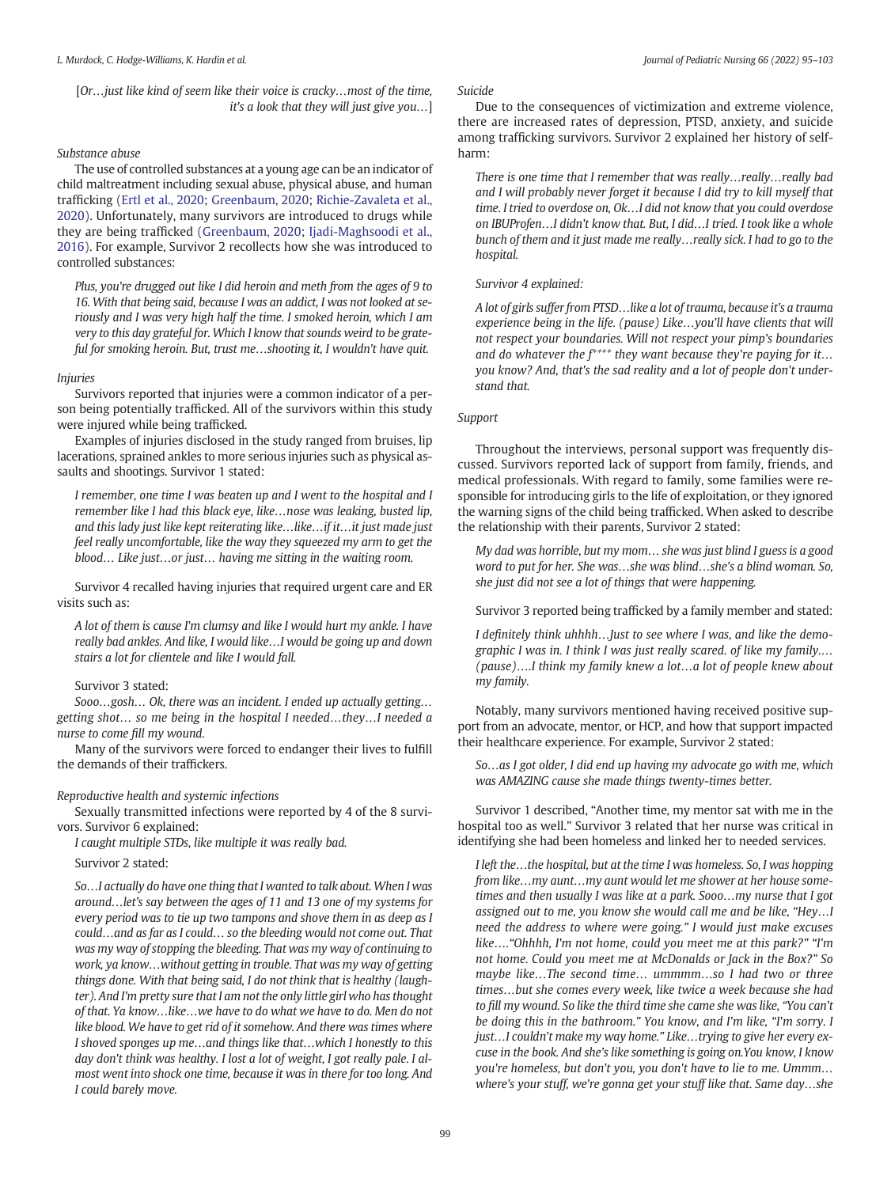[Or…just like kind of seem like their voice is cracky…most of the time, it's a look that they will just give you…]

# Substance abuse

The use of controlled substances at a young age can be an indicator of child maltreatment including sexual abuse, physical abuse, and human trafficking [\(Ertl et al., 2020;](#page-7-0) [Greenbaum, 2020;](#page-7-0) [Richie-Zavaleta et al.,](#page-8-0) [2020\)](#page-8-0). Unfortunately, many survivors are introduced to drugs while they are being trafficked [\(Greenbaum, 2020](#page-7-0); [Ijadi-Maghsoodi et al.,](#page-7-0) [2016](#page-7-0)). For example, Survivor 2 recollects how she was introduced to controlled substances:

Plus, you're drugged out like I did heroin and meth from the ages of 9 to 16. With that being said, because I was an addict, I was not looked at seriously and I was very high half the time. I smoked heroin, which I am very to this day grateful for. Which I know that sounds weird to be grateful for smoking heroin. But, trust me…shooting it, I wouldn't have quit.

# Injuries

Survivors reported that injuries were a common indicator of a person being potentially trafficked. All of the survivors within this study were injured while being trafficked.

Examples of injuries disclosed in the study ranged from bruises, lip lacerations, sprained ankles to more serious injuries such as physical assaults and shootings. Survivor 1 stated:

I remember, one time I was beaten up and I went to the hospital and I remember like I had this black eye, like…nose was leaking, busted lip, and this lady just like kept reiterating like…like…if it…it just made just feel really uncomfortable, like the way they squeezed my arm to get the blood… Like just…or just… having me sitting in the waiting room.

Survivor 4 recalled having injuries that required urgent care and ER visits such as:

A lot of them is cause I'm clumsy and like I would hurt my ankle. I have really bad ankles. And like, I would like…I would be going up and down stairs a lot for clientele and like I would fall.

#### Survivor 3 stated:

Sooo…gosh… Ok, there was an incident. I ended up actually getting… getting shot… so me being in the hospital I needed…they…I needed a nurse to come fill my wound.

Many of the survivors were forced to endanger their lives to fulfill the demands of their traffickers.

#### Reproductive health and systemic infections

Sexually transmitted infections were reported by 4 of the 8 survivors. Survivor 6 explained:

I caught multiple STDs, like multiple it was really bad.

Survivor 2 stated:

So…I actually do have one thing that I wanted to talk about. When I was around…let's say between the ages of 11 and 13 one of my systems for every period was to tie up two tampons and shove them in as deep as I could…and as far as I could… so the bleeding would not come out. That was my way of stopping the bleeding. That was my way of continuing to work, ya know…without getting in trouble. That was my way of getting things done. With that being said, I do not think that is healthy (laughter). And I'm pretty sure that I am not the only little girl who has thought of that. Ya know…like…we have to do what we have to do. Men do not like blood. We have to get rid of it somehow. And there was times where I shoved sponges up me…and things like that…which I honestly to this day don't think was healthy. I lost a lot of weight, I got really pale. I almost went into shock one time, because it was in there for too long. And I could barely move.

#### Suicide

Due to the consequences of victimization and extreme violence, there are increased rates of depression, PTSD, anxiety, and suicide among trafficking survivors. Survivor 2 explained her history of selfharm:

There is one time that I remember that was really…really…really bad and I will probably never forget it because I did try to kill myself that time. I tried to overdose on, Ok…I did not know that you could overdose on IBUProfen…I didn't know that. But, I did…I tried. I took like a whole bunch of them and it just made me really…really sick. I had to go to the hospital.

Survivor 4 explained:

A lot of girls suffer from PTSD…like a lot of trauma, because it's a trauma experience being in the life. (pause) Like…you'll have clients that will not respect your boundaries. Will not respect your pimp's boundaries and do whatever the  $f^{***}$  they want because they're paying for it... you know? And, that's the sad reality and a lot of people don't understand that.

# Support

Throughout the interviews, personal support was frequently discussed. Survivors reported lack of support from family, friends, and medical professionals. With regard to family, some families were responsible for introducing girls to the life of exploitation, or they ignored the warning signs of the child being trafficked. When asked to describe the relationship with their parents, Survivor 2 stated:

My dad was horrible, but my mom… she was just blind I guess is a good word to put for her. She was…she was blind…she's a blind woman. So, she just did not see a lot of things that were happening.

Survivor 3 reported being trafficked by a family member and stated:

I definitely think uhhhh…Just to see where I was, and like the demographic I was in. I think I was just really scared. of like my family.… (pause)….I think my family knew a lot…a lot of people knew about my family.

Notably, many survivors mentioned having received positive support from an advocate, mentor, or HCP, and how that support impacted their healthcare experience. For example, Survivor 2 stated:

So…as I got older, I did end up having my advocate go with me, which was AMAZING cause she made things twenty-times better.

Survivor 1 described, "Another time, my mentor sat with me in the hospital too as well." Survivor 3 related that her nurse was critical in identifying she had been homeless and linked her to needed services.

I left the…the hospital, but at the time I was homeless. So, I was hopping from like…my aunt…my aunt would let me shower at her house sometimes and then usually I was like at a park. Sooo…my nurse that I got assigned out to me, you know she would call me and be like, "Hey…I need the address to where were going." I would just make excuses like…."Ohhhh, I'm not home, could you meet me at this park?" "I'm not home. Could you meet me at McDonalds or Jack in the Box?" So maybe like…The second time… ummmm…so I had two or three times…but she comes every week, like twice a week because she had to fill my wound. So like the third time she came she was like, "You can't be doing this in the bathroom." You know, and I'm like, "I'm sorry. I just…I couldn't make my way home." Like…trying to give her every excuse in the book. And she's like something is going on.You know, I know you're homeless, but don't you, you don't have to lie to me. Ummm… where's your stuff, we're gonna get your stuff like that. Same day…she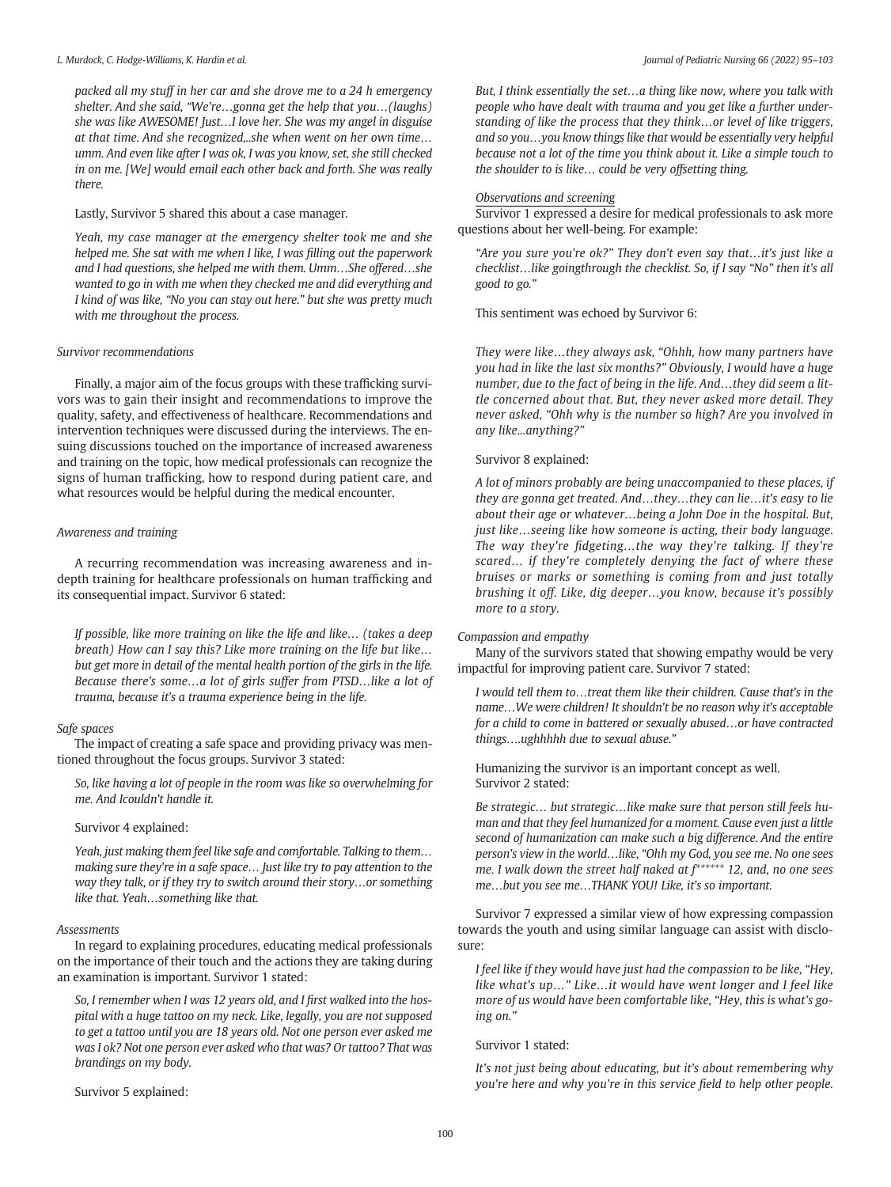packed all my stuff in her car and she drove me to a 24 h emergency shelter. And she said, "We're…gonna get the help that you…(laughs) she was like AWESOME! Just…I love her. She was my angel in disguise at that time. And she recognized,..she when went on her own time… umm. And even like after I was ok, I was you know, set, she still checked in on me. [We] would email each other back and forth. She was really there.

Lastly, Survivor 5 shared this about a case manager.

Yeah, my case manager at the emergency shelter took me and she helped me. She sat with me when I like, I was filling out the paperwork and I had questions, she helped me with them. Umm…She offered…she wanted to go in with me when they checked me and did everything and I kind of was like, "No you can stay out here." but she was pretty much with me throughout the process.

# Survivor recommendations

Finally, a major aim of the focus groups with these trafficking survivors was to gain their insight and recommendations to improve the quality, safety, and effectiveness of healthcare. Recommendations and intervention techniques were discussed during the interviews. The ensuing discussions touched on the importance of increased awareness and training on the topic, how medical professionals can recognize the signs of human trafficking, how to respond during patient care, and what resources would be helpful during the medical encounter.

# Awareness and training

A recurring recommendation was increasing awareness and indepth training for healthcare professionals on human trafficking and its consequential impact. Survivor 6 stated:

If possible, like more training on like the life and like… (takes a deep breath) How can I say this? Like more training on the life but like… but get more in detail of the mental health portion of the girls in the life. Because there's some…a lot of girls suffer from PTSD…like a lot of trauma, because it's a trauma experience being in the life.

# Safe spaces

The impact of creating a safe space and providing privacy was mentioned throughout the focus groups. Survivor 3 stated:

So, like having a lot of people in the room was like so overwhelming for me. And Icouldn't handle it.

# Survivor 4 explained:

Yeah, just making them feel like safe and comfortable. Talking to them… making sure they're in a safe space… Just like try to pay attention to the way they talk, or if they try to switch around their story…or something like that. Yeah…something like that.

# Assessments

In regard to explaining procedures, educating medical professionals on the importance of their touch and the actions they are taking during an examination is important. Survivor 1 stated:

So, I remember when I was 12 years old, and I first walked into the hospital with a huge tattoo on my neck. Like, legally, you are not supposed to get a tattoo until you are 18 years old. Not one person ever asked me was I ok? Not one person ever asked who that was? Or tattoo? That was brandings on my body.

Survivor 5 explained:

But, I think essentially the set…a thing like now, where you talk with people who have dealt with trauma and you get like a further understanding of like the process that they think…or level of like triggers, and so you…you know things like that would be essentially very helpful because not a lot of the time you think about it. Like a simple touch to the shoulder to is like… could be very offsetting thing.

# Observations and screening

Survivor 1 expressed a desire for medical professionals to ask more questions about her well-being. For example:

"Are you sure you're ok?" They don't even say that…it's just like a checklist…like goingthrough the checklist. So, if I say "No" then it's all good to go."

This sentiment was echoed by Survivor 6:

They were like…they always ask, "Ohhh, how many partners have you had in like the last six months?" Obviously, I would have a huge number, due to the fact of being in the life. And…they did seem a little concerned about that. But, they never asked more detail. They never asked, "Ohh why is the number so high? Are you involved in any like...anything?"

# Survivor 8 explained:

A lot of minors probably are being unaccompanied to these places, if they are gonna get treated. And…they…they can lie…it's easy to lie about their age or whatever…being a John Doe in the hospital. But, just like…seeing like how someone is acting, their body language. The way they're fidgeting…the way they're talking. If they're scared… if they're completely denying the fact of where these bruises or marks or something is coming from and just totally brushing it off. Like, dig deeper…you know, because it's possibly more to a story.

# Compassion and empathy

Many of the survivors stated that showing empathy would be very impactful for improving patient care. Survivor 7 stated:

I would tell them to…treat them like their children. Cause that's in the name…We were children! It shouldn't be no reason why it's acceptable for a child to come in battered or sexually abused…or have contracted things….ughhhhh due to sexual abuse."

Humanizing the survivor is an important concept as well. Survivor 2 stated:

Be strategic… but strategic…like make sure that person still feels human and that they feel humanized for a moment. Cause even just a little second of humanization can make such a big difference. And the entire person's view in the world…like, "Ohh my God, you see me. No one sees me. I walk down the street half naked at f\*\*\*\*\*\* 12, and, no one sees me…but you see me…THANK YOU! Like, it's so important.

Survivor 7 expressed a similar view of how expressing compassion towards the youth and using similar language can assist with disclosure:

I feel like if they would have just had the compassion to be like, "Hey, like what's up…" Like…it would have went longer and I feel like more of us would have been comfortable like, "Hey, this is what's going on."

# Survivor 1 stated:

It's not just being about educating, but it's about remembering why you're here and why you're in this service field to help other people.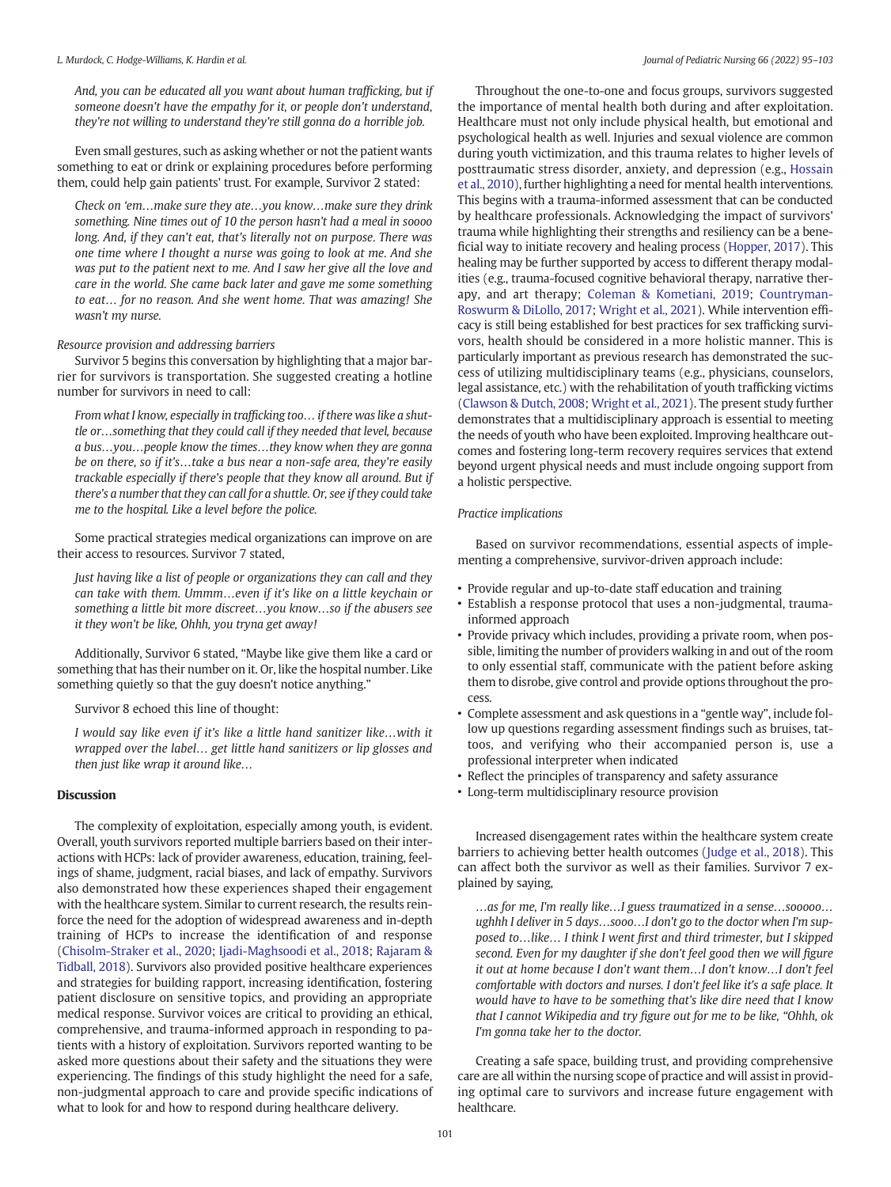And, you can be educated all you want about human trafficking, but if someone doesn't have the empathy for it, or people don't understand, they're not willing to understand they're still gonna do a horrible job.

Even small gestures, such as asking whether or not the patient wants something to eat or drink or explaining procedures before performing them, could help gain patients' trust. For example, Survivor 2 stated:

Check on 'em…make sure they ate…you know…make sure they drink something. Nine times out of 10 the person hasn't had a meal in soooo long. And, if they can't eat, that's literally not on purpose. There was one time where I thought a nurse was going to look at me. And she was put to the patient next to me. And I saw her give all the love and care in the world. She came back later and gave me some something to eat… for no reason. And she went home. That was amazing! She wasn't my nurse.

#### Resource provision and addressing barriers

Survivor 5 begins this conversation by highlighting that a major barrier for survivors is transportation. She suggested creating a hotline number for survivors in need to call:

From what I know, especially in trafficking too… if there was like a shuttle or…something that they could call if they needed that level, because a bus…you…people know the times…they know when they are gonna be on there, so if it's…take a bus near a non-safe area, they're easily trackable especially if there's people that they know all around. But if there's a number that they can call for a shuttle. Or, see if they could take me to the hospital. Like a level before the police.

Some practical strategies medical organizations can improve on are their access to resources. Survivor 7 stated,

Just having like a list of people or organizations they can call and they can take with them. Ummm…even if it's like on a little keychain or something a little bit more discreet…you know…so if the abusers see it they won't be like, Ohhh, you tryna get away!

Additionally, Survivor 6 stated, "Maybe like give them like a card or something that has their number on it. Or, like the hospital number. Like something quietly so that the guy doesn't notice anything."

Survivor 8 echoed this line of thought:

I would say like even if it's like a little hand sanitizer like…with it wrapped over the label… get little hand sanitizers or lip glosses and then just like wrap it around like…

# Discussion

The complexity of exploitation, especially among youth, is evident. Overall, youth survivors reported multiple barriers based on their interactions with HCPs: lack of provider awareness, education, training, feelings of shame, judgment, racial biases, and lack of empathy. Survivors also demonstrated how these experiences shaped their engagement with the healthcare system. Similar to current research, the results reinforce the need for the adoption of widespread awareness and in-depth training of HCPs to increase the identification of and response ([Chisolm-Straker et al., 2020;](#page-7-0) [Ijadi-Maghsoodi et al., 2018;](#page-7-0) [Rajaram &](#page-8-0) [Tidball, 2018\)](#page-8-0). Survivors also provided positive healthcare experiences and strategies for building rapport, increasing identification, fostering patient disclosure on sensitive topics, and providing an appropriate medical response. Survivor voices are critical to providing an ethical, comprehensive, and trauma-informed approach in responding to patients with a history of exploitation. Survivors reported wanting to be asked more questions about their safety and the situations they were experiencing. The findings of this study highlight the need for a safe, non-judgmental approach to care and provide specific indications of what to look for and how to respond during healthcare delivery.

Throughout the one-to-one and focus groups, survivors suggested the importance of mental health both during and after exploitation. Healthcare must not only include physical health, but emotional and psychological health as well. Injuries and sexual violence are common during youth victimization, and this trauma relates to higher levels of posttraumatic stress disorder, anxiety, and depression (e.g., [Hossain](#page-7-0) [et al., 2010\)](#page-7-0), further highlighting a need for mental health interventions. This begins with a trauma-informed assessment that can be conducted by healthcare professionals. Acknowledging the impact of survivors' trauma while highlighting their strengths and resiliency can be a beneficial way to initiate recovery and healing process [\(Hopper, 2017](#page-7-0)). This healing may be further supported by access to different therapy modalities (e.g., trauma-focused cognitive behavioral therapy, narrative therapy, and art therapy; [Coleman & Kometiani, 2019](#page-7-0); [Countryman-](#page-7-0)[Roswurm & DiLollo, 2017;](#page-7-0) [Wright et al., 2021](#page-8-0)). While intervention efficacy is still being established for best practices for sex trafficking survivors, health should be considered in a more holistic manner. This is particularly important as previous research has demonstrated the success of utilizing multidisciplinary teams (e.g., physicians, counselors, legal assistance, etc.) with the rehabilitation of youth trafficking victims ([Clawson & Dutch, 2008](#page-7-0); [Wright et al., 2021](#page-8-0)). The present study further demonstrates that a multidisciplinary approach is essential to meeting the needs of youth who have been exploited. Improving healthcare outcomes and fostering long-term recovery requires services that extend beyond urgent physical needs and must include ongoing support from a holistic perspective.

#### Practice implications

Based on survivor recommendations, essential aspects of implementing a comprehensive, survivor-driven approach include:

- Provide regular and up-to-date staff education and training
- Establish a response protocol that uses a non-judgmental, traumainformed approach
- Provide privacy which includes, providing a private room, when possible, limiting the number of providers walking in and out of the room to only essential staff, communicate with the patient before asking them to disrobe, give control and provide options throughout the process.
- Complete assessment and ask questions in a "gentle way", include follow up questions regarding assessment findings such as bruises, tattoos, and verifying who their accompanied person is, use a professional interpreter when indicated
- Reflect the principles of transparency and safety assurance
- Long-term multidisciplinary resource provision

Increased disengagement rates within the healthcare system create barriers to achieving better health outcomes ([Judge et al., 2018\)](#page-7-0). This can affect both the survivor as well as their families. Survivor 7 explained by saying,

…as for me, I'm really like…I guess traumatized in a sense…sooooo… ughhh I deliver in 5 days…sooo…I don't go to the doctor when I'm supposed to…like… I think I went first and third trimester, but I skipped second. Even for my daughter if she don't feel good then we will figure it out at home because I don't want them…I don't know…I don't feel comfortable with doctors and nurses. I don't feel like it's a safe place. It would have to have to be something that's like dire need that I know that I cannot Wikipedia and try figure out for me to be like, "Ohhh, ok I'm gonna take her to the doctor.

Creating a safe space, building trust, and providing comprehensive care are all within the nursing scope of practice and will assist in providing optimal care to survivors and increase future engagement with healthcare.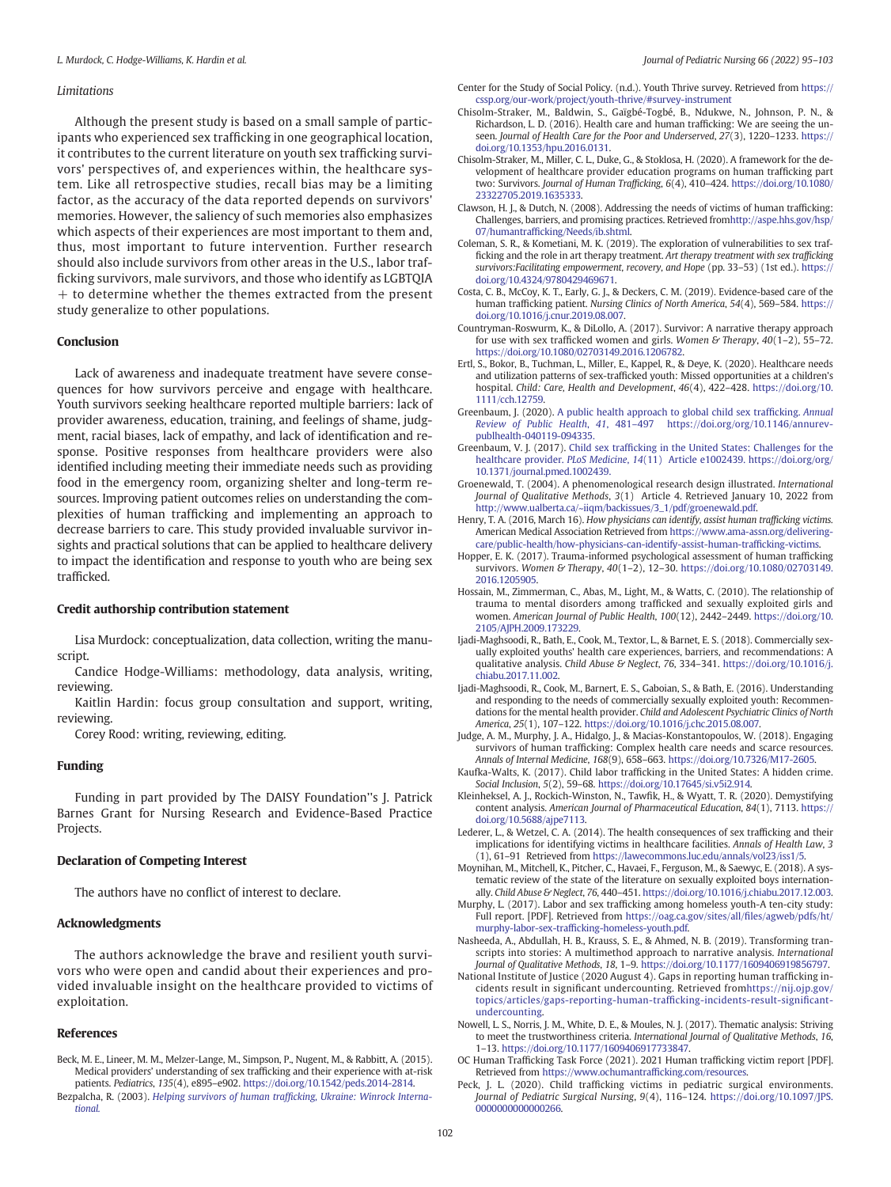#### <span id="page-7-0"></span>**Limitations**

Although the present study is based on a small sample of participants who experienced sex trafficking in one geographical location, it contributes to the current literature on youth sex trafficking survivors' perspectives of, and experiences within, the healthcare system. Like all retrospective studies, recall bias may be a limiting factor, as the accuracy of the data reported depends on survivors' memories. However, the saliency of such memories also emphasizes which aspects of their experiences are most important to them and, thus, most important to future intervention. Further research should also include survivors from other areas in the U.S., labor trafficking survivors, male survivors, and those who identify as LGBTQIA  $+$  to determine whether the themes extracted from the present study generalize to other populations.

#### Conclusion

Lack of awareness and inadequate treatment have severe consequences for how survivors perceive and engage with healthcare. Youth survivors seeking healthcare reported multiple barriers: lack of provider awareness, education, training, and feelings of shame, judgment, racial biases, lack of empathy, and lack of identification and response. Positive responses from healthcare providers were also identified including meeting their immediate needs such as providing food in the emergency room, organizing shelter and long-term resources. Improving patient outcomes relies on understanding the complexities of human trafficking and implementing an approach to decrease barriers to care. This study provided invaluable survivor insights and practical solutions that can be applied to healthcare delivery to impact the identification and response to youth who are being sex trafficked.

#### Credit authorship contribution statement

Lisa Murdock: conceptualization, data collection, writing the manuscript.

Candice Hodge-Williams: methodology, data analysis, writing, reviewing.

Kaitlin Hardin: focus group consultation and support, writing, reviewing.

Corey Rood: writing, reviewing, editing.

#### Funding

Funding in part provided by The DAISY Foundation''s J. Patrick Barnes Grant for Nursing Research and Evidence-Based Practice Projects.

#### Declaration of Competing Interest

The authors have no conflict of interest to declare.

#### Acknowledgments

The authors acknowledge the brave and resilient youth survivors who were open and candid about their experiences and provided invaluable insight on the healthcare provided to victims of exploitation.

#### References

- Beck, M. E., Lineer, M. M., Melzer-Lange, M., Simpson, P., Nugent, M., & Rabbitt, A. (2015). Medical providers' understanding of sex trafficking and their experience with at-risk patients. Pediatrics, 135(4), e895–e902. <https://doi.org/10.1542/peds.2014-2814>.
- Bezpalcha, R. (2003). Helping survivors of human traffi[cking, Ukraine: Winrock Interna](http://refhub.elsevier.com/S0882-5963(22)00133-6/rf0010)[tional.](http://refhub.elsevier.com/S0882-5963(22)00133-6/rf0010)
- Center for the Study of Social Policy. (n.d.). Youth Thrive survey. Retrieved from [https://](https://cssp.org/our-work/project/youth-thrive/#survey-instrument) [cssp.org/our-work/project/youth-thrive/#survey-instrument](https://cssp.org/our-work/project/youth-thrive/#survey-instrument)
- Chisolm-Straker, M., Baldwin, S., Gaïgbé-Togbé, B., Ndukwe, N., Johnson, P. N., & Richardson, L. D. (2016). Health care and human trafficking: We are seeing the unseen. Journal of Health Care for the Poor and Underserved, 27(3), 1220–1233. [https://](https://doi.org/10.1353/hpu.2016.0131) [doi.org/10.1353/hpu.2016.0131](https://doi.org/10.1353/hpu.2016.0131).
- Chisolm-Straker, M., Miller, C. L., Duke, G., & Stoklosa, H. (2020). A framework for the development of healthcare provider education programs on human trafficking part two: Survivors. Journal of Human Trafficking, 6(4), 410–424. [https://doi.org/10.1080/](https://doi.org/10.1080/23322705.2019.1635333) [23322705.2019.1635333](https://doi.org/10.1080/23322705.2019.1635333).
- Clawson, H. J., & Dutch, N. (2008). Addressing the needs of victims of human trafficking: Challenges, barriers, and promising practices. Retrieved fro[mhttp://aspe.hhs.gov/hsp/](http://aspe.hhs.gov/hsp/07/humantrafficking/Needs/ib.shtml) 07/humantraffi[cking/Needs/ib.shtml](http://aspe.hhs.gov/hsp/07/humantrafficking/Needs/ib.shtml).
- Coleman, S. R., & Kometiani, M. K. (2019). The exploration of vulnerabilities to sex trafficking and the role in art therapy treatment. Art therapy treatment with sex trafficking survivors:Facilitating empowerment, recovery, and Hope (pp. 33–53) (1st ed.). https:/ [doi.org/10.4324/9780429469671](https://doi.org/10.4324/9780429469671).
- Costa, C. B., McCoy, K. T., Early, G. J., & Deckers, C. M. (2019). Evidence-based care of the human trafficking patient. Nursing Clinics of North America, 54(4), 569–584. [https://](https://doi.org/10.1016/j.cnur.2019.08.007) [doi.org/10.1016/j.cnur.2019.08.007.](https://doi.org/10.1016/j.cnur.2019.08.007)
- Countryman-Roswurm, K., & DiLollo, A. (2017). Survivor: A narrative therapy approach for use with sex trafficked women and girls. Women & Therapy,  $40(1-2)$ , 55-72. <https://doi.org/10.1080/02703149.2016.1206782>.
- Ertl, S., Bokor, B., Tuchman, L., Miller, E., Kappel, R., & Deye, K. (2020). Healthcare needs and utilization patterns of sex-trafficked youth: Missed opportunities at a children's hospital. Child: Care, Health and Development, 46(4), 422–428. [https://doi.org/10.](https://doi.org/10.1111/cch.12759) [1111/cch.12759](https://doi.org/10.1111/cch.12759).
- Greenbaum, J. (2020). [A public health approach to global child sex traf](http://refhub.elsevier.com/S0882-5963(22)00133-6/rf0050)ficking. Annual Review of Public Health, 41, 481–[497 https://doi.org/org/10.1146/annurev](http://refhub.elsevier.com/S0882-5963(22)00133-6/rf0050)[publhealth-040119-094335.](http://refhub.elsevier.com/S0882-5963(22)00133-6/rf0050)
- Greenbaum, V. J. (2017). Child sex traffi[cking in the United States: Challenges for the](http://refhub.elsevier.com/S0882-5963(22)00133-6/rf0055) healthcare provider. PLoS Medicine, 14[\(11\) Article e1002439. https://doi.org/org/](http://refhub.elsevier.com/S0882-5963(22)00133-6/rf0055) [10.1371/journal.pmed.1002439.](http://refhub.elsevier.com/S0882-5963(22)00133-6/rf0055)
- Groenewald, T. (2004). A phenomenological research design illustrated. International Journal of Qualitative Methods, 3(1) Article 4. Retrieved January 10, 2022 from [http://www.ualberta.ca/~iiqm/backissues/3\\_1/pdf/groenewald.pdf](http://www.ualberta.ca/~iiqm/backissues/3_1/pdf/groenewald.pdf).
- Henry, T. A. (2016, March 16). How physicians can identify, assist human trafficking victims. American Medical Association Retrieved from [https://www.ama-assn.org/delivering](https://www.ama-assn.org/delivering-care/public-health/how-physicians-can-identify-assist-human-trafficking-victims)[care/public-health/how-physicians-can-identify-assist-human-traf](https://www.ama-assn.org/delivering-care/public-health/how-physicians-can-identify-assist-human-trafficking-victims)ficking-victims.
- Hopper, E. K. (2017). Trauma-informed psychological assessment of human trafficking survivors. Women & Therapy, 40(1-2), 12-30. [https://doi.org/10.1080/02703149.](https://doi.org/10.1080/02703149.2016.1205905) [2016.1205905.](https://doi.org/10.1080/02703149.2016.1205905)
- Hossain, M., Zimmerman, C., Abas, M., Light, M., & Watts, C. (2010). The relationship of trauma to mental disorders among trafficked and sexually exploited girls and women. American Journal of Public Health, 100(12), 2442–2449. [https://doi.org/10.](https://doi.org/10.2105/AJPH.2009.173229) [2105/AJPH.2009.173229.](https://doi.org/10.2105/AJPH.2009.173229)
- Ijadi-Maghsoodi, R., Bath, E., Cook, M., Textor, L., & Barnet, E. S. (2018). Commercially sexually exploited youths' health care experiences, barriers, and recommendations: A qualitative analysis. Child Abuse & Neglect, 76, 334-341. [https://doi.org/10.1016/j.](https://doi.org/10.1016/j.chiabu.2017.11.002) [chiabu.2017.11.002.](https://doi.org/10.1016/j.chiabu.2017.11.002)
- Ijadi-Maghsoodi, R., Cook, M., Barnert, E. S., Gaboian, S., & Bath, E. (2016). Understanding and responding to the needs of commercially sexually exploited youth: Recommendations for the mental health provider. Child and Adolescent Psychiatric Clinics of North America, 25(1), 107–122. [https://doi.org/10.1016/j.chc.2015.08.007.](https://doi.org/10.1016/j.chc.2015.08.007)
- Judge, A. M., Murphy, J. A., Hidalgo, J., & Macias-Konstantopoulos, W. (2018). Engaging survivors of human trafficking: Complex health care needs and scarce resources. Annals of Internal Medicine, 168(9), 658–663. [https://doi.org/10.7326/M17-2605.](https://doi.org/10.7326/M17-2605)
- Kaufka-Walts, K. (2017). Child labor trafficking in the United States: A hidden crime. Social Inclusion, 5(2), 59–68. [https://doi.org/10.17645/si.v5i2.914.](https://doi.org/10.17645/si.v5i2.914)
- Kleinheksel, A. J., Rockich-Winston, N., Tawfik, H., & Wyatt, T. R. (2020). Demystifying content analysis. American Journal of Pharmaceutical Education, 84(1), 7113. [https://](https://doi.org/10.5688/ajpe7113) [doi.org/10.5688/ajpe7113.](https://doi.org/10.5688/ajpe7113)
- Lederer, L., & Wetzel, C. A. (2014). The health consequences of sex trafficking and their implications for identifying victims in healthcare facilities. Annals of Health Law, 3 (1), 61–91 Retrieved from [https://lawecommons.luc.edu/annals/vol23/iss1/5.](https://lawecommons.luc.edu/annals/vol23/iss1/5)
- Moynihan, M., Mitchell, K., Pitcher, C., Havaei, F., Ferguson, M., & Saewyc, E. (2018). A systematic review of the state of the literature on sexually exploited boys internationally. Child Abuse & Neglect, 76, 440–451. [https://doi.org/10.1016/j.chiabu.2017.12.003.](https://doi.org/10.1016/j.chiabu.2017.12.003)
- Murphy, L. (2017). Labor and sex trafficking among homeless youth-A ten-city study: Full report. [PDF]. Retrieved from [https://oag.ca.gov/sites/all/](https://oag.ca.gov/sites/all/files/agweb/pdfs/ht/murphy-labor-sex-trafficking-homeless-youth.pdf)files/agweb/pdfs/ht/ murphy-labor-sex-traffi[cking-homeless-youth.pdf.](https://oag.ca.gov/sites/all/files/agweb/pdfs/ht/murphy-labor-sex-trafficking-homeless-youth.pdf)
- Nasheeda, A., Abdullah, H. B., Krauss, S. E., & Ahmed, N. B. (2019). Transforming transcripts into stories: A multimethod approach to narrative analysis. International Journal of Qualitative Methods, 18, 1–9. <https://doi.org/10.1177/1609406919856797>.
- National Institute of Justice (2020 August 4). Gaps in reporting human trafficking incidents result in significant undercounting. Retrieved fro[mhttps://nij.ojp.gov/](https://nij.ojp.gov/topics/articles/gaps-reporting-human-trafficking-incidents-result-significant-undercounting) [topics/articles/gaps-reporting-human-traf](https://nij.ojp.gov/topics/articles/gaps-reporting-human-trafficking-incidents-result-significant-undercounting)ficking-incidents-result-significant[undercounting](https://nij.ojp.gov/topics/articles/gaps-reporting-human-trafficking-incidents-result-significant-undercounting).
- Nowell, L. S., Norris, J. M., White, D. E., & Moules, N. J. (2017). Thematic analysis: Striving to meet the trustworthiness criteria. International Journal of Qualitative Methods, 16, 1–13. <https://doi.org/10.1177/1609406917733847>.
- OC Human Trafficking Task Force (2021). 2021 Human trafficking victim report [PDF]. Retrieved from [https://www.ochumantraf](https://www.ochumantrafficking.com/resources)ficking.com/resources.
- Peck, J. L. (2020). Child trafficking victims in pediatric surgical environments. Journal of Pediatric Surgical Nursing, 9(4), 116–124. [https://doi.org/10.1097/JPS.](https://doi.org/10.1097/JPS.0000000000000266) [0000000000000266.](https://doi.org/10.1097/JPS.0000000000000266)